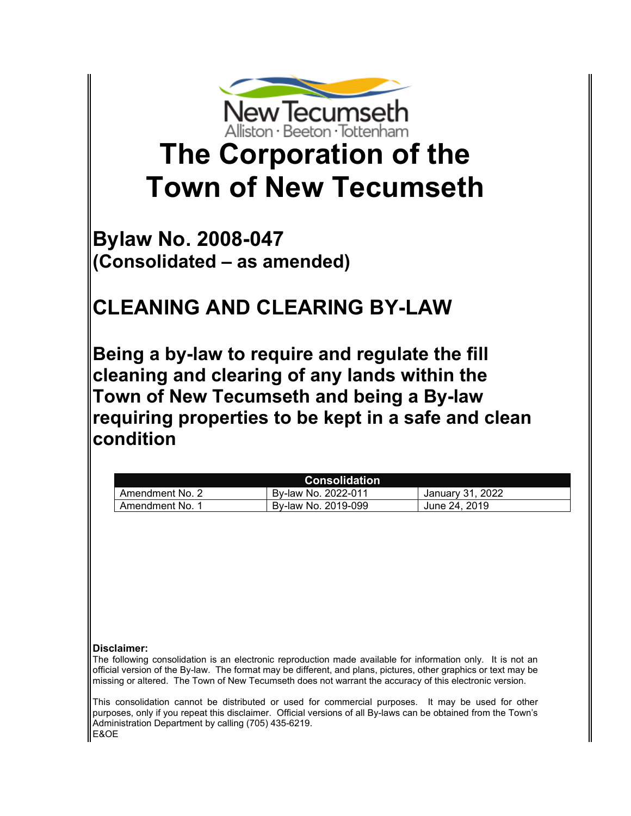

# New Tecumseth **The Corporation of the Town of New Tecumseth**

**Bylaw No. 2008-047 (Consolidated – as amended)**

## **CLEANING AND CLEARING BY-LAW**

**Being a by-law to require and regulate the fill cleaning and clearing of any lands within the Town of New Tecumseth and being a By-law requiring properties to be kept in a safe and clean condition**

| <b>Consolidation</b> |                     |                  |  |  |
|----------------------|---------------------|------------------|--|--|
| Amendment No. 2      | Bv-law No. 2022-011 | January 31, 2022 |  |  |
| Amendment No. 1      | Bv-law No. 2019-099 | June 24, 2019    |  |  |

#### **Disclaimer:**

The following consolidation is an electronic reproduction made available for information only. It is not an official version of the By-law. The format may be different, and plans, pictures, other graphics or text may be missing or altered. The Town of New Tecumseth does not warrant the accuracy of this electronic version.

This consolidation cannot be distributed or used for commercial purposes. It may be used for other purposes, only if you repeat this disclaimer. Official versions of all By-laws can be obtained from the Town's Administration Department by calling (705) 435-6219. E&OE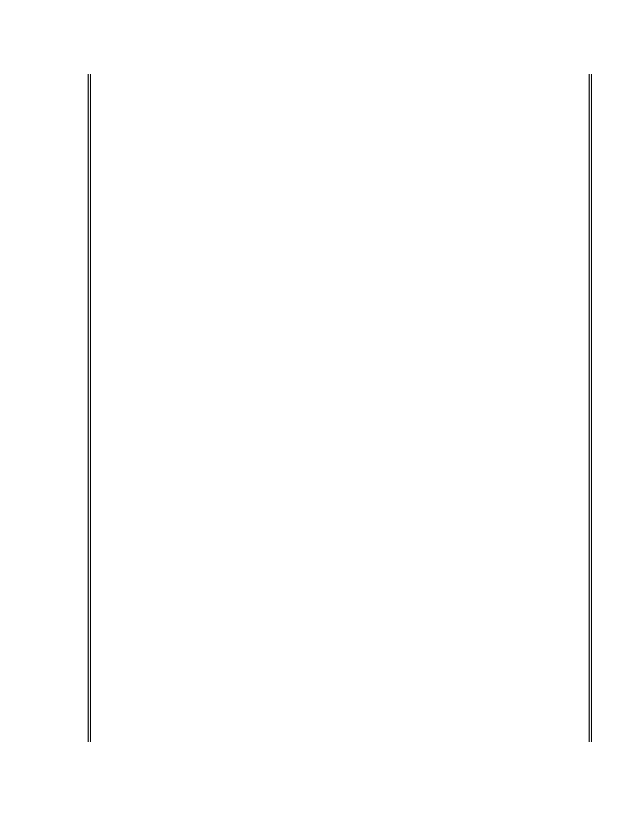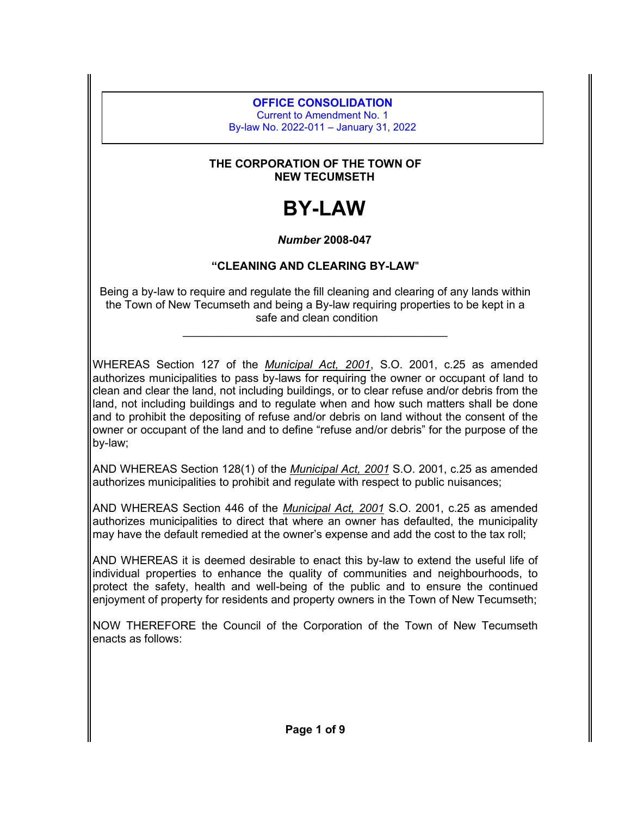#### **OFFICE CONSOLIDATION**

Current to Amendment No. 1 By-law No. 2022-011 – January 31, 2022

#### **THE CORPORATION OF THE TOWN OF NEW TECUMSETH**

## **BY-LAW**

#### *Number* **2008-047**

#### **"CLEANING AND CLEARING BY-LAW**"

Being a by-law to require and regulate the fill cleaning and clearing of any lands within the Town of New Tecumseth and being a By-law requiring properties to be kept in a safe and clean condition

\_\_\_\_\_\_\_\_\_\_\_\_\_\_\_\_\_\_\_\_\_\_\_\_\_\_\_\_\_\_\_\_\_\_\_\_\_\_\_\_\_\_

WHEREAS Section 127 of the *Municipal Act, 2001*, S.O. 2001, c.25 as amended authorizes municipalities to pass by-laws for requiring the owner or occupant of land to clean and clear the land, not including buildings, or to clear refuse and/or debris from the land, not including buildings and to regulate when and how such matters shall be done and to prohibit the depositing of refuse and/or debris on land without the consent of the owner or occupant of the land and to define "refuse and/or debris" for the purpose of the by-law;

AND WHEREAS Section 128(1) of the *Municipal Act, 2001* S.O. 2001, c.25 as amended authorizes municipalities to prohibit and regulate with respect to public nuisances;

AND WHEREAS Section 446 of the *Municipal Act, 2001* S.O. 2001, c.25 as amended authorizes municipalities to direct that where an owner has defaulted, the municipality may have the default remedied at the owner's expense and add the cost to the tax roll;

AND WHEREAS it is deemed desirable to enact this by-law to extend the useful life of individual properties to enhance the quality of communities and neighbourhoods, to protect the safety, health and well-being of the public and to ensure the continued enjoyment of property for residents and property owners in the Town of New Tecumseth;

NOW THEREFORE the Council of the Corporation of the Town of New Tecumseth enacts as follows: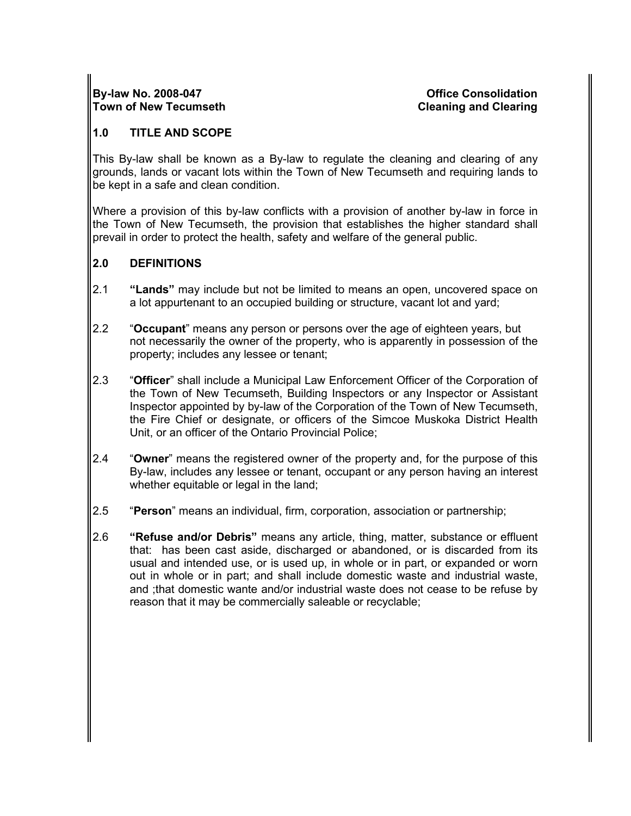### **By-law No. 2008-047 Office Consolidation Town of New Tecumseth Cleaning and Clearing and Clearing**

#### **1.0 TITLE AND SCOPE**

This By-law shall be known as a By-law to regulate the cleaning and clearing of any grounds, lands or vacant lots within the Town of New Tecumseth and requiring lands to be kept in a safe and clean condition.

Where a provision of this by-law conflicts with a provision of another by-law in force in the Town of New Tecumseth, the provision that establishes the higher standard shall prevail in order to protect the health, safety and welfare of the general public.

#### **2.0 DEFINITIONS**

- 2.1 **"Lands"** may include but not be limited to means an open, uncovered space on a lot appurtenant to an occupied building or structure, vacant lot and yard;
- 2.2 "**Occupant**" means any person or persons over the age of eighteen years, but not necessarily the owner of the property, who is apparently in possession of the property; includes any lessee or tenant;
- 2.3 "**Officer**" shall include a Municipal Law Enforcement Officer of the Corporation of the Town of New Tecumseth, Building Inspectors or any Inspector or Assistant Inspector appointed by by-law of the Corporation of the Town of New Tecumseth, the Fire Chief or designate, or officers of the Simcoe Muskoka District Health Unit, or an officer of the Ontario Provincial Police;
- 2.4 "**Owner**" means the registered owner of the property and, for the purpose of this By-law, includes any lessee or tenant, occupant or any person having an interest whether equitable or legal in the land;
- 2.5 "**Person**" means an individual, firm, corporation, association or partnership;
- 2.6 **"Refuse and/or Debris"** means any article, thing, matter, substance or effluent that: has been cast aside, discharged or abandoned, or is discarded from its usual and intended use, or is used up, in whole or in part, or expanded or worn out in whole or in part; and shall include domestic waste and industrial waste, and ;that domestic wante and/or industrial waste does not cease to be refuse by reason that it may be commercially saleable or recyclable;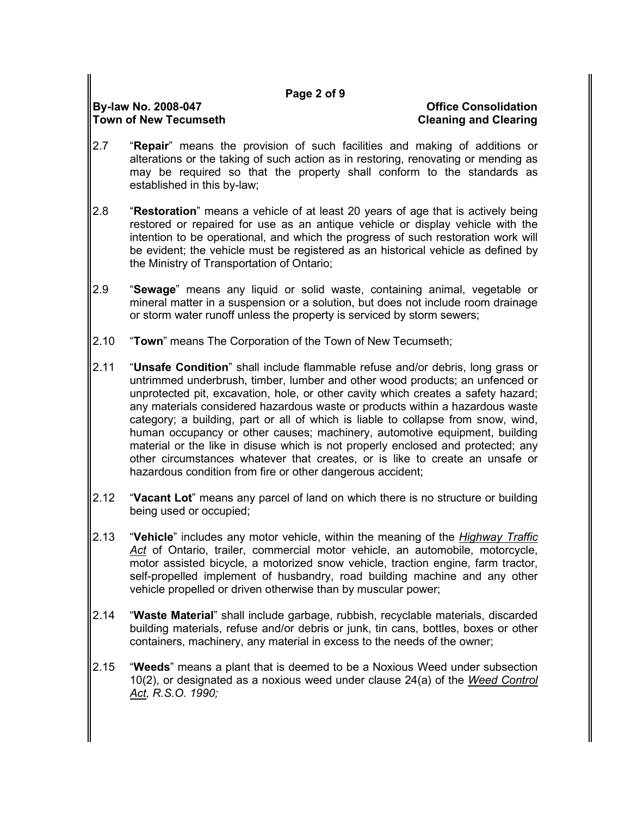#### **Page 2 of 9**

#### **By-law No. 2008-047 Office Consolidation Town of New Tecumseth Cleaning and Clearing**

- 2.7 "**Repair**" means the provision of such facilities and making of additions or alterations or the taking of such action as in restoring, renovating or mending as may be required so that the property shall conform to the standards as established in this by-law;
- 2.8 "**Restoration**" means a vehicle of at least 20 years of age that is actively being restored or repaired for use as an antique vehicle or display vehicle with the intention to be operational, and which the progress of such restoration work will be evident; the vehicle must be registered as an historical vehicle as defined by the Ministry of Transportation of Ontario;
- 2.9 "**Sewage**" means any liquid or solid waste, containing animal, vegetable or mineral matter in a suspension or a solution, but does not include room drainage or storm water runoff unless the property is serviced by storm sewers;
- 2.10 "**Town**" means The Corporation of the Town of New Tecumseth;
- 2.11 "**Unsafe Condition**" shall include flammable refuse and/or debris, long grass or untrimmed underbrush, timber, lumber and other wood products; an unfenced or unprotected pit, excavation, hole, or other cavity which creates a safety hazard; any materials considered hazardous waste or products within a hazardous waste category; a building, part or all of which is liable to collapse from snow, wind, human occupancy or other causes; machinery, automotive equipment, building material or the like in disuse which is not properly enclosed and protected; any other circumstances whatever that creates, or is like to create an unsafe or hazardous condition from fire or other dangerous accident;
- 2.12 "**Vacant Lot**" means any parcel of land on which there is no structure or building being used or occupied;
- 2.13 "**Vehicle**" includes any motor vehicle, within the meaning of the *Highway Traffic Act* of Ontario, trailer, commercial motor vehicle, an automobile, motorcycle, motor assisted bicycle, a motorized snow vehicle, traction engine, farm tractor, self-propelled implement of husbandry, road building machine and any other vehicle propelled or driven otherwise than by muscular power;
- 2.14 "**Waste Material**" shall include garbage, rubbish, recyclable materials, discarded building materials, refuse and/or debris or junk, tin cans, bottles, boxes or other containers, machinery, any material in excess to the needs of the owner;
- 2.15 "**Weeds**" means a plant that is deemed to be a Noxious Weed under subsection 10(2), or designated as a noxious weed under clause 24(a) of the *Weed Control Act, R.S.O. 1990;*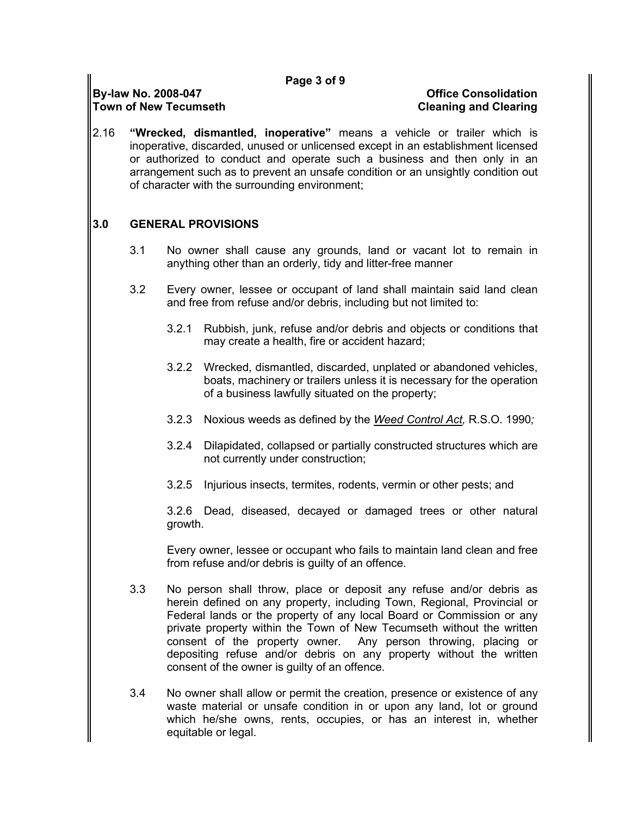#### **Page 3 of 9**

#### **By-law No. 2008-047 Office Consolidation Town of New Tecumseth Cleaning and Clearing**

2.16 **"Wrecked, dismantled, inoperative"** means a vehicle or trailer which is inoperative, discarded, unused or unlicensed except in an establishment licensed or authorized to conduct and operate such a business and then only in an arrangement such as to prevent an unsafe condition or an unsightly condition out of character with the surrounding environment;

### **3.0 GENERAL PROVISIONS**

- 3.1 No owner shall cause any grounds, land or vacant lot to remain in anything other than an orderly, tidy and litter-free manner
- 3.2 Every owner, lessee or occupant of land shall maintain said land clean and free from refuse and/or debris, including but not limited to:
	- 3.2.1 Rubbish, junk, refuse and/or debris and objects or conditions that may create a health, fire or accident hazard;
	- 3.2.2 Wrecked, dismantled, discarded, unplated or abandoned vehicles, boats, machinery or trailers unless it is necessary for the operation of a business lawfully situated on the property;
	- 3.2.3 Noxious weeds as defined by the *Weed Control Act,* R.S.O. 1990*;*
	- 3.2.4 Dilapidated, collapsed or partially constructed structures which are not currently under construction;
	- 3.2.5 Injurious insects, termites, rodents, vermin or other pests; and

3.2.6 Dead, diseased, decayed or damaged trees or other natural growth.

Every owner, lessee or occupant who fails to maintain land clean and free from refuse and/or debris is guilty of an offence.

- 3.3 No person shall throw, place or deposit any refuse and/or debris as herein defined on any property, including Town, Regional, Provincial or Federal lands or the property of any local Board or Commission or any private property within the Town of New Tecumseth without the written consent of the property owner. Any person throwing, placing or depositing refuse and/or debris on any property without the written consent of the owner is guilty of an offence.
- 3.4 No owner shall allow or permit the creation, presence or existence of any waste material or unsafe condition in or upon any land, lot or ground which he/she owns, rents, occupies, or has an interest in, whether equitable or legal.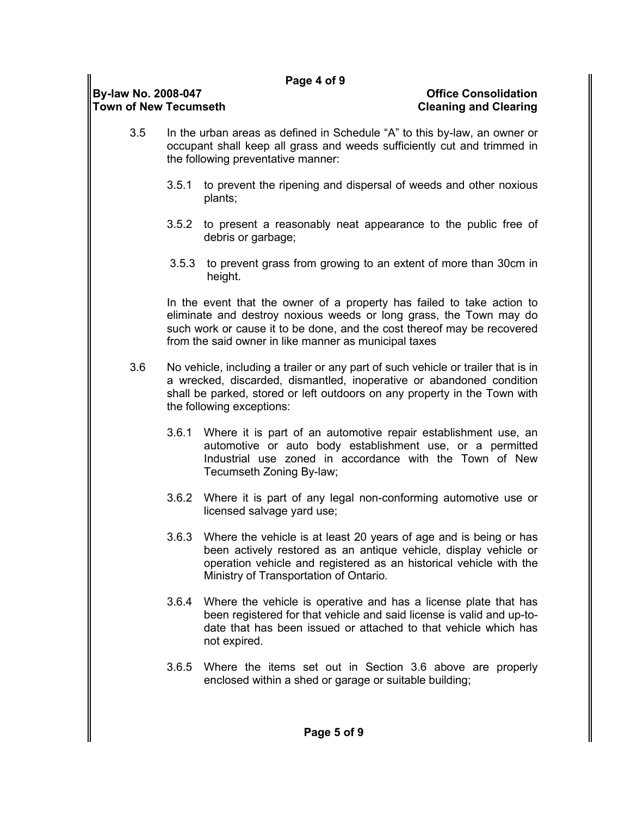#### **Page 4 of 9**

| Page 4 of 9 |                                                     |                                                                                                                                                                                                                                                                                  |                                                                                                                                                                                                                                                       |                                                             |  |
|-------------|-----------------------------------------------------|----------------------------------------------------------------------------------------------------------------------------------------------------------------------------------------------------------------------------------------------------------------------------------|-------------------------------------------------------------------------------------------------------------------------------------------------------------------------------------------------------------------------------------------------------|-------------------------------------------------------------|--|
|             | By-law No. 2008-047<br><b>Town of New Tecumseth</b> |                                                                                                                                                                                                                                                                                  |                                                                                                                                                                                                                                                       | <b>Office Consolidation</b><br><b>Cleaning and Clearing</b> |  |
|             | 3.5                                                 |                                                                                                                                                                                                                                                                                  | In the urban areas as defined in Schedule "A" to this by-law, an owner or<br>occupant shall keep all grass and weeds sufficiently cut and trimmed in<br>the following preventative manner:                                                            |                                                             |  |
|             |                                                     | 3.5.1                                                                                                                                                                                                                                                                            | to prevent the ripening and dispersal of weeds and other noxious<br>plants;                                                                                                                                                                           |                                                             |  |
|             |                                                     |                                                                                                                                                                                                                                                                                  | 3.5.2 to present a reasonably neat appearance to the public free of<br>debris or garbage;                                                                                                                                                             |                                                             |  |
|             |                                                     | 3.5.3                                                                                                                                                                                                                                                                            | to prevent grass from growing to an extent of more than 30cm in<br>height.                                                                                                                                                                            |                                                             |  |
|             |                                                     | In the event that the owner of a property has failed to take action to<br>eliminate and destroy noxious weeds or long grass, the Town may do<br>such work or cause it to be done, and the cost thereof may be recovered<br>from the said owner in like manner as municipal taxes |                                                                                                                                                                                                                                                       |                                                             |  |
|             | 3.6                                                 | the following exceptions:                                                                                                                                                                                                                                                        | No vehicle, including a trailer or any part of such vehicle or trailer that is in<br>a wrecked, discarded, dismantled, inoperative or abandoned condition<br>shall be parked, stored or left outdoors on any property in the Town with                |                                                             |  |
|             |                                                     |                                                                                                                                                                                                                                                                                  | 3.6.1 Where it is part of an automotive repair establishment use, an<br>automotive or auto body establishment use, or a permitted<br>Industrial use zoned in accordance with the Town of New<br>Tecumseth Zoning By-law;                              |                                                             |  |
|             |                                                     |                                                                                                                                                                                                                                                                                  | 3.6.2 Where it is part of any legal non-conforming automotive use or<br>licensed salvage yard use;                                                                                                                                                    |                                                             |  |
|             |                                                     | 3.6.3                                                                                                                                                                                                                                                                            | Where the vehicle is at least 20 years of age and is being or has<br>been actively restored as an antique vehicle, display vehicle or<br>operation vehicle and registered as an historical vehicle with the<br>Ministry of Transportation of Ontario. |                                                             |  |
|             |                                                     | 3.6.4                                                                                                                                                                                                                                                                            | Where the vehicle is operative and has a license plate that has<br>been registered for that vehicle and said license is valid and up-to-                                                                                                              |                                                             |  |

3.6.5 Where the items set out in Section 3.6 above are properly enclosed within a shed or garage or suitable building;

date that has been issued or attached to that vehicle which has

not expired.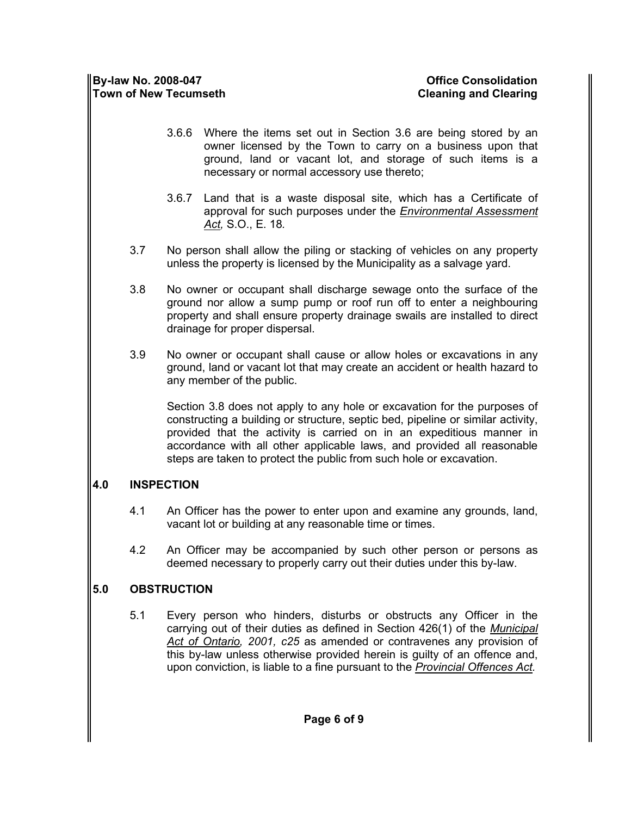#### **By-law No. 2008-047 Office Consolidation Town of New Tecumseth Cleaning and Clearing**

- 3.6.6 Where the items set out in Section 3.6 are being stored by an owner licensed by the Town to carry on a business upon that ground, land or vacant lot, and storage of such items is a necessary or normal accessory use thereto;
- 3.6.7 Land that is a waste disposal site, which has a Certificate of approval for such purposes under the *Environmental Assessment Act,* S.O., E. 18*.*
- 3.7 No person shall allow the piling or stacking of vehicles on any property unless the property is licensed by the Municipality as a salvage yard.
- 3.8 No owner or occupant shall discharge sewage onto the surface of the ground nor allow a sump pump or roof run off to enter a neighbouring property and shall ensure property drainage swails are installed to direct drainage for proper dispersal.
- 3.9 No owner or occupant shall cause or allow holes or excavations in any ground, land or vacant lot that may create an accident or health hazard to any member of the public.

Section 3.8 does not apply to any hole or excavation for the purposes of constructing a building or structure, septic bed, pipeline or similar activity, provided that the activity is carried on in an expeditious manner in accordance with all other applicable laws, and provided all reasonable steps are taken to protect the public from such hole or excavation.

#### **4.0 INSPECTION**

- 4.1 An Officer has the power to enter upon and examine any grounds, land, vacant lot or building at any reasonable time or times.
- 4.2 An Officer may be accompanied by such other person or persons as deemed necessary to properly carry out their duties under this by-law.

### **5.0 OBSTRUCTION**

5.1 Every person who hinders, disturbs or obstructs any Officer in the carrying out of their duties as defined in Section 426(1) of the *Municipal Act of Ontario, 2001, c25* as amended or contravenes any provision of this by-law unless otherwise provided herein is guilty of an offence and, upon conviction, is liable to a fine pursuant to the *Provincial Offences Act.*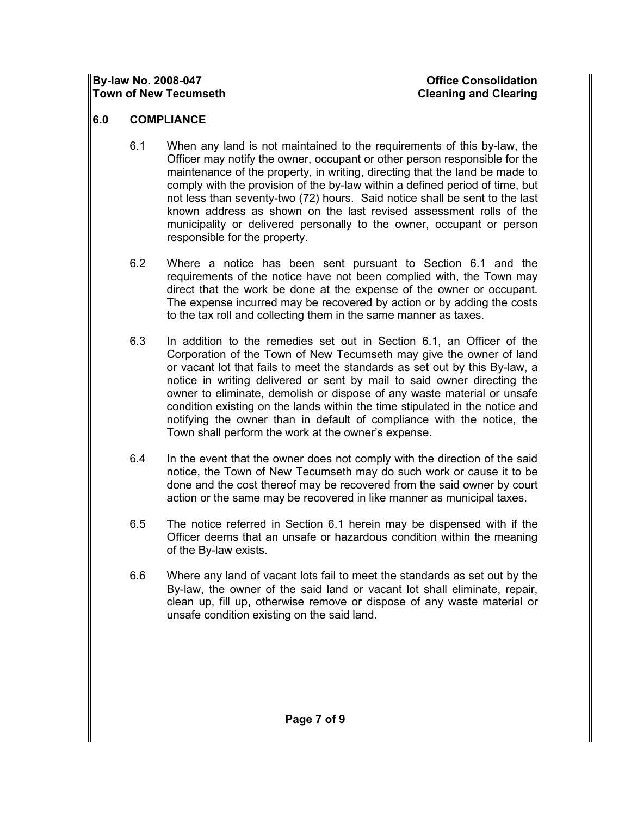#### **By-law No. 2008-047 Office Consolidation Town of New Tecumseth Cleaning and Clearing**

#### **6.0 COMPLIANCE**

- 6.1 When any land is not maintained to the requirements of this by-law, the Officer may notify the owner, occupant or other person responsible for the maintenance of the property, in writing, directing that the land be made to comply with the provision of the by-law within a defined period of time, but not less than seventy-two (72) hours. Said notice shall be sent to the last known address as shown on the last revised assessment rolls of the municipality or delivered personally to the owner, occupant or person responsible for the property.
- 6.2 Where a notice has been sent pursuant to Section 6.1 and the requirements of the notice have not been complied with, the Town may direct that the work be done at the expense of the owner or occupant. The expense incurred may be recovered by action or by adding the costs to the tax roll and collecting them in the same manner as taxes.
- 6.3 In addition to the remedies set out in Section 6.1, an Officer of the Corporation of the Town of New Tecumseth may give the owner of land or vacant lot that fails to meet the standards as set out by this By-law, a notice in writing delivered or sent by mail to said owner directing the owner to eliminate, demolish or dispose of any waste material or unsafe condition existing on the lands within the time stipulated in the notice and notifying the owner than in default of compliance with the notice, the Town shall perform the work at the owner's expense.
- 6.4 In the event that the owner does not comply with the direction of the said notice, the Town of New Tecumseth may do such work or cause it to be done and the cost thereof may be recovered from the said owner by court action or the same may be recovered in like manner as municipal taxes.
- 6.5 The notice referred in Section 6.1 herein may be dispensed with if the Officer deems that an unsafe or hazardous condition within the meaning of the By-law exists.
- 6.6 Where any land of vacant lots fail to meet the standards as set out by the By-law, the owner of the said land or vacant lot shall eliminate, repair, clean up, fill up, otherwise remove or dispose of any waste material or unsafe condition existing on the said land.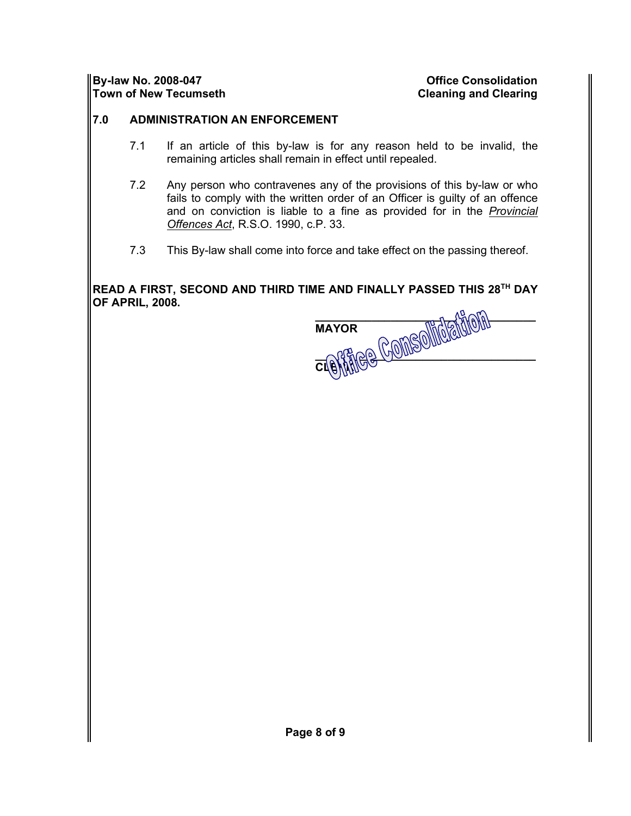**By-law No. 2008-047 Office Consolidation**

#### **7.0 ADMINISTRATION AN ENFORCEMENT**

- 7.1 If an article of this by-law is for any reason held to be invalid, the remaining articles shall remain in effect until repealed.
- 7.2 Any person who contravenes any of the provisions of this by-law or who fails to comply with the written order of an Officer is guilty of an offence and on conviction is liable to a fine as provided for in the *Provincial Offences Act*, R.S.O. 1990, c.P. 33.
- 7.3 This By-law shall come into force and take effect on the passing thereof.

#### **READ A FIRST, SECOND AND THIRD TIME AND FINALLY PASSED THIS 28TH DAY OF APRIL, 2008.**

**\_\_\_\_\_\_\_\_\_\_\_\_\_\_\_\_\_\_\_\_\_\_\_\_\_\_\_\_\_\_\_\_\_\_\_ MAYOR \_\_\_\_\_\_\_\_\_\_\_\_\_\_\_\_\_\_\_\_\_\_\_\_\_\_\_\_\_\_\_\_\_\_\_** CL*evil*l